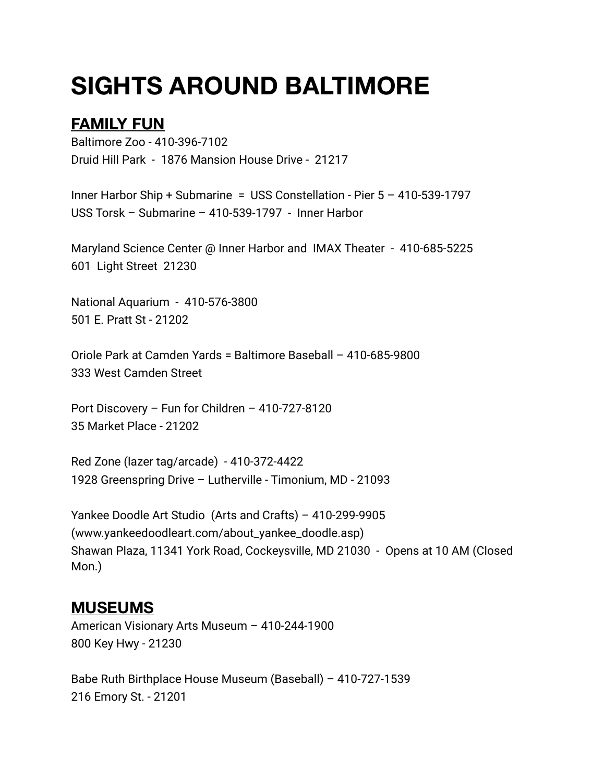## **SIGHTS AROUND BALTIMORE**

## **FAMILY FUN**

Baltimore Zoo - 410-396-7102 Druid Hill Park - 1876 Mansion House Drive - 21217

Inner Harbor Ship + Submarine = USS Constellation - Pier 5 – 410-539-1797 USS Torsk – Submarine – 410-539-1797 - Inner Harbor

Maryland Science Center @ Inner Harbor and IMAX Theater - 410-685-5225 601 Light Street 21230

National Aquarium - 410-576-3800 501 E. Pratt St - 21202

Oriole Park at Camden Yards = Baltimore Baseball – 410-685-9800 333 West Camden Street

Port Discovery – Fun for Children – 410-727-8120 35 Market Place - 21202

Red Zone (lazer tag/arcade) - 410-372-4422 1928 Greenspring Drive – Lutherville - Timonium, MD - 21093

Yankee Doodle Art Studio (Arts and Crafts) – 410-299-9905 (www.yankeedoodleart.com/about\_yankee\_doodle.asp) Shawan Plaza, 11341 York Road, Cockeysville, MD 21030 - Opens at 10 AM (Closed Mon.)

## **MUSEUMS**

American Visionary Arts Museum – 410-244-1900 800 Key Hwy - 21230

Babe Ruth Birthplace House Museum (Baseball) – 410-727-1539 216 Emory St. - 21201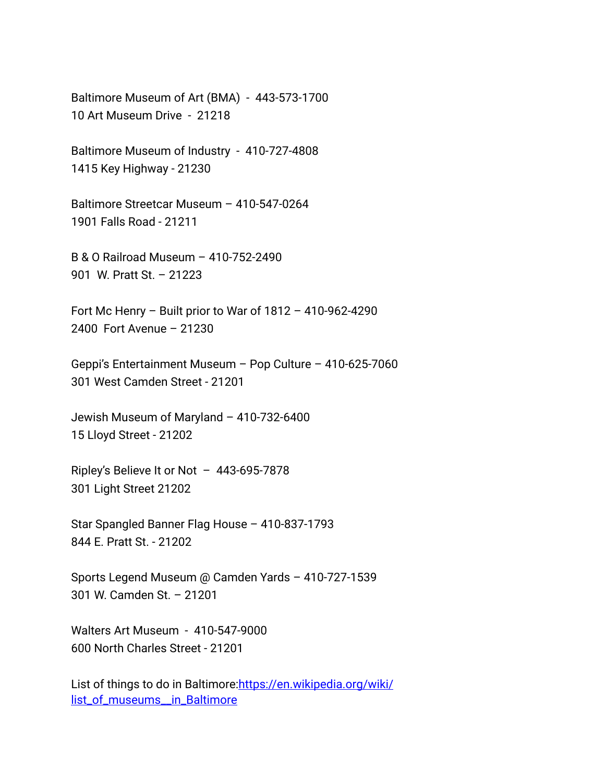Baltimore Museum of Art (BMA) - 443-573-1700 10 Art Museum Drive - 21218

Baltimore Museum of Industry - 410-727-4808 1415 Key Highway - 21230

Baltimore Streetcar Museum – 410-547-0264 1901 Falls Road - 21211

B & O Railroad Museum – 410-752-2490 901 W. Pratt St. – 21223

Fort Mc Henry – Built prior to War of 1812 – 410-962-4290 2400 Fort Avenue – 21230

Geppi's Entertainment Museum – Pop Culture – 410-625-7060 301 West Camden Street - 21201

Jewish Museum of Maryland – 410-732-6400 15 Lloyd Street - 21202

Ripley's Believe It or Not – 443-695-7878 301 Light Street 21202

Star Spangled Banner Flag House – 410-837-1793 844 E. Pratt St. - 21202

Sports Legend Museum @ Camden Yards – 410-727-1539 301 W. Camden St. – 21201

Walters Art Museum - 410-547-9000 600 North Charles Street - 21201

List of things to do in Baltimore: [https://en.wikipedia.org/wiki/](https://en.wikipedia.org/wiki/list_of_museums__in_Baltimore) list\_of\_museums\_in\_Baltimore